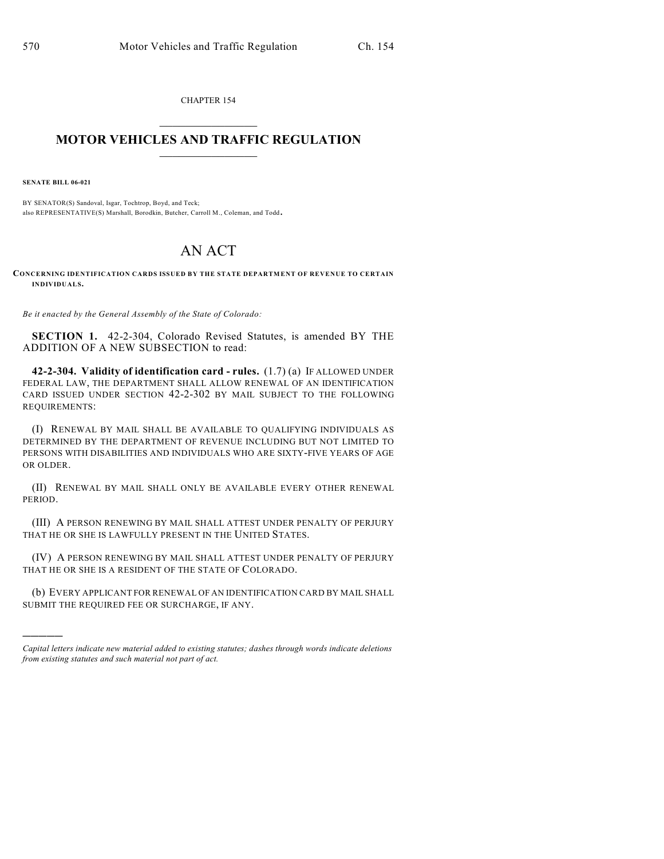CHAPTER 154  $\overline{\phantom{a}}$  . The set of the set of the set of the set of the set of the set of the set of the set of the set of the set of the set of the set of the set of the set of the set of the set of the set of the set of the set o

## **MOTOR VEHICLES AND TRAFFIC REGULATION**  $\frac{1}{2}$  ,  $\frac{1}{2}$  ,  $\frac{1}{2}$  ,  $\frac{1}{2}$  ,  $\frac{1}{2}$  ,  $\frac{1}{2}$  ,  $\frac{1}{2}$  ,  $\frac{1}{2}$

**SENATE BILL 06-021**

)))))

BY SENATOR(S) Sandoval, Isgar, Tochtrop, Boyd, and Teck; also REPRESENTATIVE(S) Marshall, Borodkin, Butcher, Carroll M., Coleman, and Todd.

## AN ACT

**CONCERNING IDENTIFICATION CARDS ISSUED BY THE STATE DEPARTMENT OF REVENUE TO CERTAIN INDIVIDUALS.**

*Be it enacted by the General Assembly of the State of Colorado:*

**SECTION 1.** 42-2-304, Colorado Revised Statutes, is amended BY THE ADDITION OF A NEW SUBSECTION to read:

**42-2-304. Validity of identification card - rules.** (1.7) (a) IF ALLOWED UNDER FEDERAL LAW, THE DEPARTMENT SHALL ALLOW RENEWAL OF AN IDENTIFICATION CARD ISSUED UNDER SECTION 42-2-302 BY MAIL SUBJECT TO THE FOLLOWING REQUIREMENTS:

(I) RENEWAL BY MAIL SHALL BE AVAILABLE TO QUALIFYING INDIVIDUALS AS DETERMINED BY THE DEPARTMENT OF REVENUE INCLUDING BUT NOT LIMITED TO PERSONS WITH DISABILITIES AND INDIVIDUALS WHO ARE SIXTY-FIVE YEARS OF AGE OR OLDER.

(II) RENEWAL BY MAIL SHALL ONLY BE AVAILABLE EVERY OTHER RENEWAL PERIOD.

(III) A PERSON RENEWING BY MAIL SHALL ATTEST UNDER PENALTY OF PERJURY THAT HE OR SHE IS LAWFULLY PRESENT IN THE UNITED STATES.

(IV) A PERSON RENEWING BY MAIL SHALL ATTEST UNDER PENALTY OF PERJURY THAT HE OR SHE IS A RESIDENT OF THE STATE OF COLORADO.

(b) EVERY APPLICANT FOR RENEWAL OF AN IDENTIFICATION CARD BY MAIL SHALL SUBMIT THE REQUIRED FEE OR SURCHARGE, IF ANY.

*Capital letters indicate new material added to existing statutes; dashes through words indicate deletions from existing statutes and such material not part of act.*